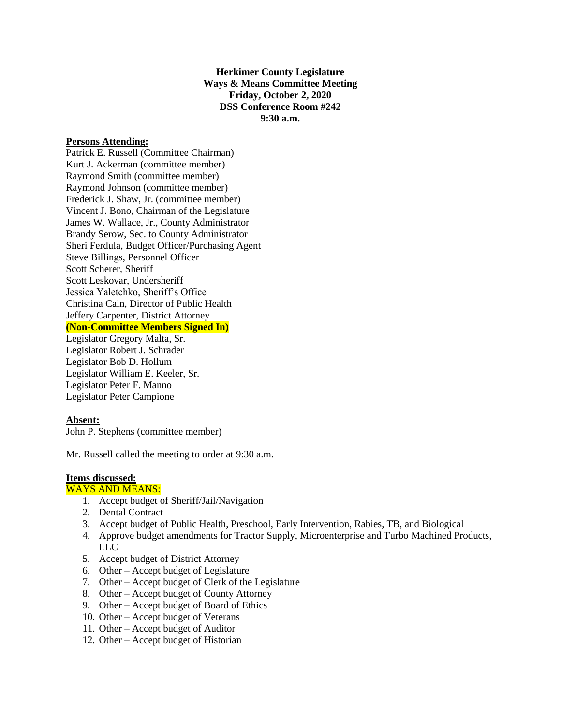**Herkimer County Legislature Ways & Means Committee Meeting Friday, October 2, 2020 DSS Conference Room #242 9:30 a.m.**

### **Persons Attending:**

Patrick E. Russell (Committee Chairman) Kurt J. Ackerman (committee member) Raymond Smith (committee member) Raymond Johnson (committee member) Frederick J. Shaw, Jr. (committee member) Vincent J. Bono, Chairman of the Legislature James W. Wallace, Jr., County Administrator Brandy Serow, Sec. to County Administrator Sheri Ferdula, Budget Officer/Purchasing Agent Steve Billings, Personnel Officer Scott Scherer, Sheriff Scott Leskovar, Undersheriff Jessica Yaletchko, Sheriff's Office Christina Cain, Director of Public Health Jeffery Carpenter, District Attorney **(Non-Committee Members Signed In)** Legislator Gregory Malta, Sr. Legislator Robert J. Schrader Legislator Bob D. Hollum Legislator William E. Keeler, Sr. Legislator Peter F. Manno Legislator Peter Campione

### **Absent:**

John P. Stephens (committee member)

Mr. Russell called the meeting to order at 9:30 a.m.

#### **Items discussed:**

## WAYS AND MEANS:

- 1. Accept budget of Sheriff/Jail/Navigation
- 2. Dental Contract
- 3. Accept budget of Public Health, Preschool, Early Intervention, Rabies, TB, and Biological
- 4. Approve budget amendments for Tractor Supply, Microenterprise and Turbo Machined Products, LLC
- 5. Accept budget of District Attorney
- 6. Other Accept budget of Legislature
- 7. Other Accept budget of Clerk of the Legislature
- 8. Other Accept budget of County Attorney
- 9. Other Accept budget of Board of Ethics
- 10. Other Accept budget of Veterans
- 11. Other Accept budget of Auditor
- 12. Other Accept budget of Historian